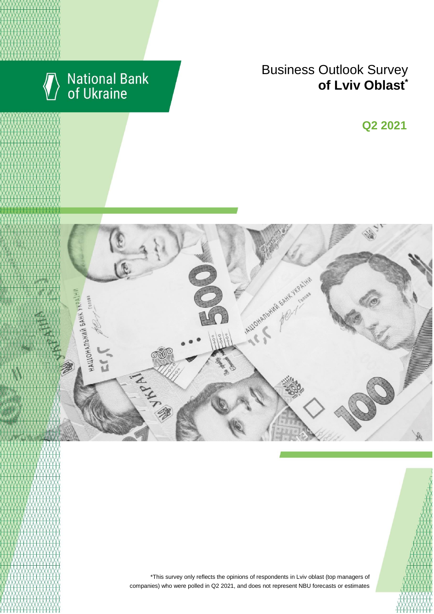

# National Bank<br>of Ukraine

## Business Outlook Survey **of** Lviv Oblast<sup>\*</sup>

**Q2 2018 Q2 2021**



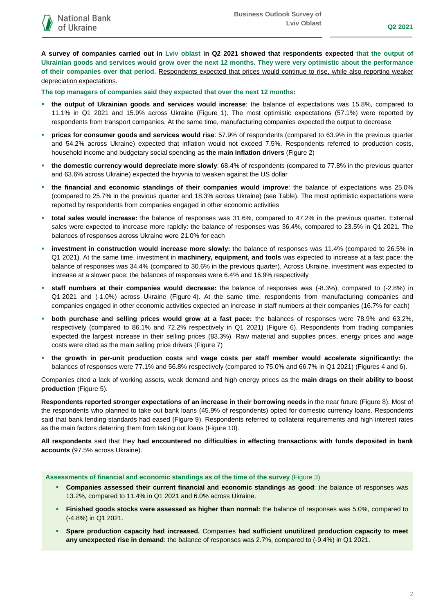**A survey of companies carried out in Lviv oblast in Q2 2021 showed that respondents expected that the output of Ukrainian goods and services would grow over the next 12 months. They were very optimistic about the performance of their companies over that period.** Respondents expected that prices would continue to rise, while also reporting weaker depreciation expectations.

**The top managers of companies said they expected that over the next 12 months:**

- **the output of Ukrainian goods and services would increase**: the balance of expectations was 15.8%, compared to 11.1% in Q1 2021 and 15.9% across Ukraine (Figure 1). The most optimistic expectations (57.1%) were reported by respondents from transport companies. At the same time, manufacturing companies expected the output to decrease
- **prices for consumer goods and services would rise**: 57.9% of respondents (compared to 63.9% in the previous quarter and 54.2% across Ukraine) expected that inflation would not exceed 7.5%. Respondents referred to production costs, household income and budgetary social spending as **the main inflation drivers** (Figure 2)
- **the domestic currency would depreciate more slowly**: 68.4% of respondents (compared to 77.8% in the previous quarter and 63.6% across Ukraine) expected the hryvnia to weaken against the US dollar
- **the financial and economic standings of their companies would improve**: the balance of expectations was 25.0% (compared to 25.7% in the previous quarter and 18.3% across Ukraine) (see Table). The most optimistic expectations were reported by respondents from companies engaged in other economic activities
- **total sales would increase:** the balance of responses was 31.6%, compared to 47.2% in the previous quarter. External sales were expected to increase more rapidly: the balance of responses was 36.4%, compared to 23.5% in Q1 2021. The balances of responses across Ukraine were 21.0% for each
- **investment in construction would increase more slowly:** the balance of responses was 11.4% (compared to 26.5% in Q1 2021). At the same time, investment in **machinery, equipment, and tools** was expected to increase at a fast pace: the balance of responses was 34.4% (compared to 30.6% in the previous quarter). Across Ukraine, investment was expected to increase at a slower pace: the balances of responses were 6.4% and 16.9% respectively
- **staff numbers at their companies would decrease:** the balance of responses was (-8.3%), compared to (-2.8%) in Q1 2021 and (-1.0%) across Ukraine (Figure 4). At the same time, respondents from manufacturing companies and companies engaged in other economic activities expected an increase in staff numbers at their companies (16.7% for each)
- **both purchase and selling prices would grow at a fast pace:** the balances of responses were 78.9% and 63.2%, respectively (compared to 86.1% and 72.2% respectively in Q1 2021) (Figure 6). Respondents from trading companies expected the largest increase in their selling prices (83.3%). Raw material and supplies prices, energy prices and wage costs were cited as the main selling price drivers (Figure 7)
- **the growth in per-unit production costs** and **wage costs per staff member would accelerate significantly:** the balances of responses were 77.1% and 56.8% respectively (compared to 75.0% and 66.7% in Q1 2021) (Figures 4 and 6).

Companies cited a lack of working assets, weak demand and high energy prices as the **main drags on their ability to boost production** (Figure 5).

**Respondents reported stronger expectations of an increase in their borrowing needs** in the near future (Figure 8). Most of the respondents who planned to take out bank loans (45.9% of respondents) opted for domestic currency loans. Respondents said that bank lending standards had eased (Figure 9). Respondents referred to collateral requirements and high interest rates as the main factors deterring them from taking out loans (Figure 10).

**All respondents** said that they **had encountered no difficulties in effecting transactions with funds deposited in bank accounts** (97.5% across Ukraine).

### **Assessments of financial and economic standings as of the time of the survey** (Figure 3)

- **Companies assessed their current financial and economic standings as good**: the balance of responses was 13.2%, compared to 11.4% in Q1 2021 and 6.0% across Ukraine.
- **Finished goods stocks were assessed as higher than normal:** the balance of responses was 5.0%, compared to (-4.8%) in Q1 2021.
- **Spare production capacity had increased.** Companies **had sufficient unutilized production capacity to meet any unexpected rise in demand**: the balance of responses was 2.7%, compared to (-9.4%) in Q1 2021.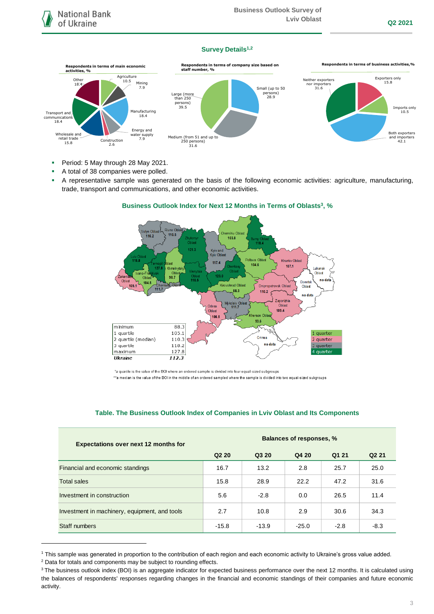## **Survey Details1,2**



- Period: 5 May through 28 May 2021.
- A total of 38 companies were polled.
- A representative sample was generated on the basis of the following economic activities: agriculture, manufacturing, trade, transport and communications, and other economic activities.





\*a quartile is the value of the BOI where an ordered sample is divided into four equal-sized subgroups

\*\*a median is the value of the BOI in the middle of an ordered sampled where the sample is divided into two equal-sized subgroups

| <b>Expectations over next 12 months for</b>   | <b>Balances of responses, %</b> |         |         |        |                   |
|-----------------------------------------------|---------------------------------|---------|---------|--------|-------------------|
|                                               | Q <sub>2</sub> 2 <sub>0</sub>   | Q3 20   | Q4 20   | Q1 21  | Q <sub>2</sub> 21 |
| Financial and economic standings              | 16.7                            | 13.2    | 2.8     | 25.7   | 25.0              |
| <b>Total sales</b>                            | 15.8                            | 28.9    | 22.2    | 47.2   | 31.6              |
| Investment in construction                    | 5.6                             | $-2.8$  | 0.0     | 26.5   | 11.4              |
| Investment in machinery, equipment, and tools | 2.7                             | 10.8    | 2.9     | 30.6   | 34.3              |
| Staff numbers                                 | $-15.8$                         | $-13.9$ | $-25.0$ | $-2.8$ | $-8.3$            |

## **Table. The Business Outlook Index of Companies in Lviv Oblast and Its Components**

1

<sup>1</sup> This sample was generated in proportion to the contribution of each region and each economic activity to Ukraine's gross value added.

<sup>2</sup> Data for totals and components may be subject to rounding effects.

<sup>&</sup>lt;sup>3</sup> The business outlook index (BOI) is an aggregate indicator for expected business performance over the next 12 months. It is calculated using the balances of respondents' responses regarding changes in the financial and economic standings of their companies and future economic activity.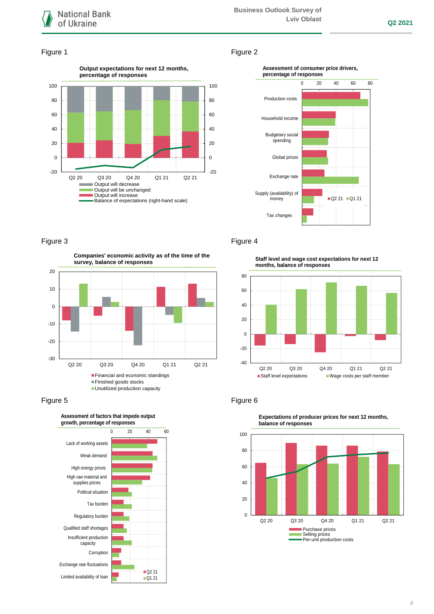

## Figure 1 Figure 2





## Figure 3 **Figure 4**

**Companies' economic activity as of the time of the survey, balance of responses**





**Staff level and wage cost expectations for next 12 months, balance of responses**



## Figure 5 Figure 6



**Expectations of producer prices for next 12 months,**